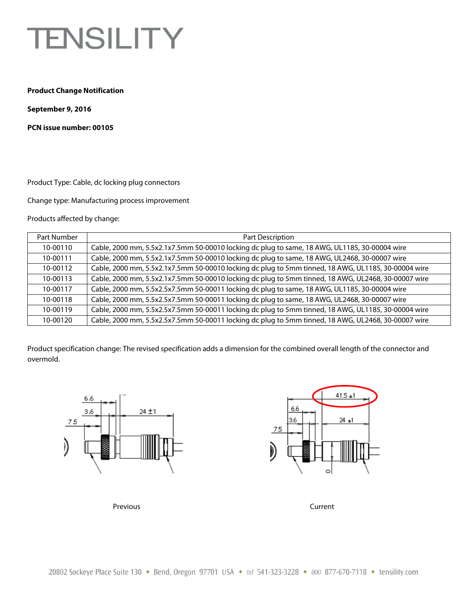## **TENSILITY**

## **Product Change Notification**

**September 9, 2016** 

**PCN issue number: 00105** 

Product Type: Cable, dc locking plug connectors

Change type: Manufacturing process improvement

Products affected by change:

| Part Number | Part Description                                                                                    |
|-------------|-----------------------------------------------------------------------------------------------------|
| 10-00110    | Cable, 2000 mm, 5.5x2.1x7.5mm 50-00010 locking dc plug to same, 18 AWG, UL1185, 30-00004 wire       |
| 10-00111    | Cable, 2000 mm, 5.5x2.1x7.5mm 50-00010 locking dc plug to same, 18 AWG, UL2468, 30-00007 wire       |
| 10-00112    | Cable, 2000 mm, 5.5x2.1x7.5mm 50-00010 locking dc plug to 5mm tinned, 18 AWG, UL1185, 30-00004 wire |
| 10-00113    | Cable, 2000 mm, 5.5x2.1x7.5mm 50-00010 locking dc plug to 5mm tinned, 18 AWG, UL2468, 30-00007 wire |
| 10-00117    | Cable, 2000 mm, 5.5x2.5x7.5mm 50-00011 locking dc plug to same, 18 AWG, UL1185, 30-00004 wire       |
| 10-00118    | Cable, 2000 mm, 5.5x2.5x7.5mm 50-00011 locking dc plug to same, 18 AWG, UL2468, 30-00007 wire       |
| 10-00119    | Cable, 2000 mm, 5.5x2.5x7.5mm 50-00011 locking dc plug to 5mm tinned, 18 AWG, UL1185, 30-00004 wire |
| 10-00120    | Cable, 2000 mm, 5.5x2.5x7.5mm 50-00011 locking dc plug to 5mm tinned, 18 AWG, UL2468, 30-00007 wire |

Product specification change: The revised specification adds a dimension for the combined overall length of the connector and overmold.